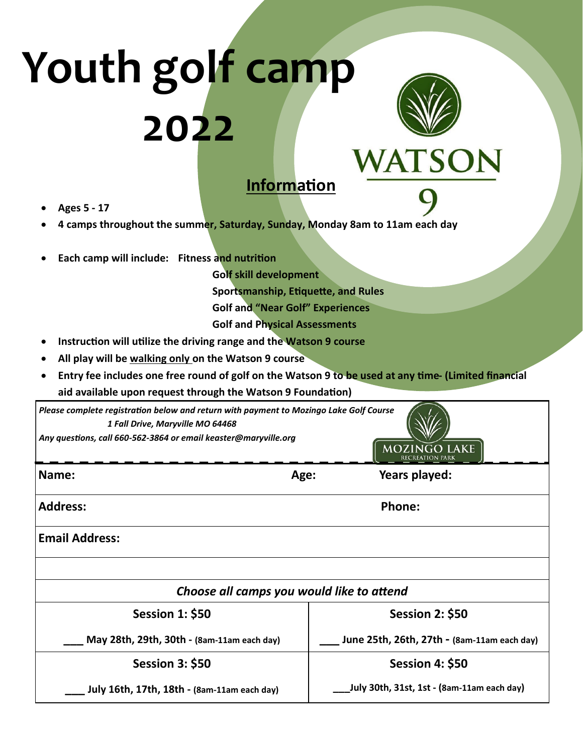## **Youth golf camp 2022** WATSON



## **Information**

- **Ages 5 - 17**
- **4 camps throughout the summer, Saturday, Sunday, Monday 8am to 11am each day**
- **Each camp will include: Fitness and nutrition**

**Golf skill development Sportsmanship, Etiquette, and Rules Golf and "Near Golf" Experiences Golf and Physical Assessments**

- **Instruction will utilize the driving range and the Watson 9 course**
- **All play will be walking only on the Watson 9 course**
- **Entry fee includes one free round of golf on the Watson 9 to be used at any time- (Limited financial aid available upon request through the Watson 9 Foundation)**

| Please complete registration below and return with payment to Mozingo Lake Golf Course<br>1 Fall Drive, Maryville MO 64468<br>Any questions, call 660-562-3864 or email keaster@maryville.org<br><b>MOZINGO LAKE</b><br><b>RECREATION PARK</b> |      |                                            |                                             |  |
|------------------------------------------------------------------------------------------------------------------------------------------------------------------------------------------------------------------------------------------------|------|--------------------------------------------|---------------------------------------------|--|
| Name:                                                                                                                                                                                                                                          | Age: |                                            | Years played:                               |  |
| <b>Address:</b>                                                                                                                                                                                                                                |      | <b>Phone:</b>                              |                                             |  |
| <b>Email Address:</b>                                                                                                                                                                                                                          |      |                                            |                                             |  |
|                                                                                                                                                                                                                                                |      |                                            |                                             |  |
| Choose all camps you would like to attend                                                                                                                                                                                                      |      |                                            |                                             |  |
| <b>Session 1: \$50</b>                                                                                                                                                                                                                         |      |                                            | <b>Session 2: \$50</b>                      |  |
| May 28th, 29th, 30th - (8am-11am each day)                                                                                                                                                                                                     |      |                                            | June 25th, 26th, 27th - (8am-11am each day) |  |
| <b>Session 3: \$50</b>                                                                                                                                                                                                                         |      | <b>Session 4: \$50</b>                     |                                             |  |
| July 16th, 17th, 18th - (8am-11am each day)                                                                                                                                                                                                    |      | July 30th, 31st, 1st - (8am-11am each day) |                                             |  |